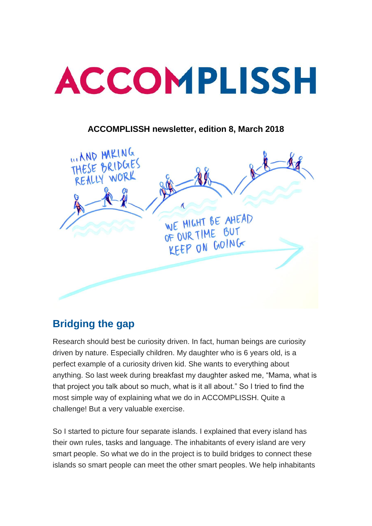

#### **ACCOMPLISSH newsletter, edition 8, March 2018**



#### **Bridging the gap**

Research should best be curiosity driven. In fact, human beings are curiosity driven by nature. Especially children. My daughter who is 6 years old, is a perfect example of a curiosity driven kid. She wants to everything about anything. So last week during breakfast my daughter asked me, "Mama, what is that project you talk about so much, what is it all about." So I tried to find the most simple way of explaining what we do in ACCOMPLISSH. Quite a challenge! But a very valuable exercise.

So I started to picture four separate islands. I explained that every island has their own rules, tasks and language. The inhabitants of every island are very smart people. So what we do in the project is to build bridges to connect these islands so smart people can meet the other smart peoples. We help inhabitants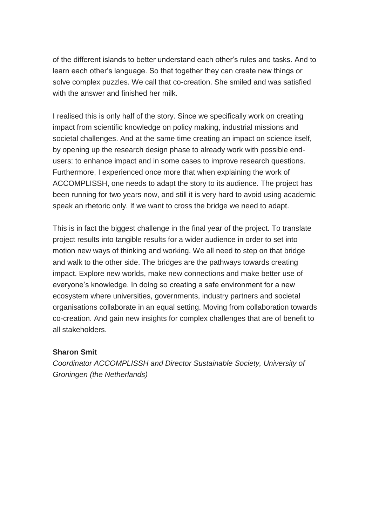of the different islands to better understand each other's rules and tasks. And to learn each other's language. So that together they can create new things or solve complex puzzles. We call that co-creation. She smiled and was satisfied with the answer and finished her milk.

I realised this is only half of the story. Since we specifically work on creating impact from scientific knowledge on policy making, industrial missions and societal challenges. And at the same time creating an impact on science itself, by opening up the research design phase to already work with possible endusers: to enhance impact and in some cases to improve research questions. Furthermore, I experienced once more that when explaining the work of ACCOMPLISSH, one needs to adapt the story to its audience. The project has been running for two years now, and still it is very hard to avoid using academic speak an rhetoric only. If we want to cross the bridge we need to adapt.

This is in fact the biggest challenge in the final year of the project. To translate project results into tangible results for a wider audience in order to set into motion new ways of thinking and working. We all need to step on that bridge and walk to the other side. The bridges are the pathways towards creating impact. Explore new worlds, make new connections and make better use of everyone's knowledge. In doing so creating a safe environment for a new ecosystem where universities, governments, industry partners and societal organisations collaborate in an equal setting. Moving from collaboration towards co-creation. And gain new insights for complex challenges that are of benefit to all stakeholders.

#### **Sharon Smit**

*Coordinator ACCOMPLISSH and Director Sustainable Society, University of Groningen (the Netherlands)*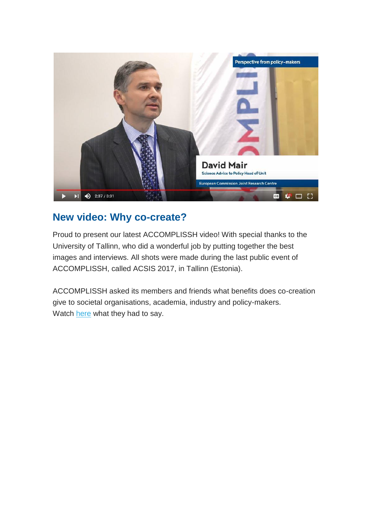

## **New video: Why co-create?**

Proud to present our latest ACCOMPLISSH video! With special thanks to the University of Tallinn, who did a wonderful job by putting together the best images and interviews. All shots were made during the last public event of ACCOMPLISSH, called ACSIS 2017, in Tallinn (Estonia).

ACCOMPLISSH asked its members and friends what benefits does co-creation give to societal organisations, academia, industry and policy-makers. Watch [here](https://www.youtube.com/watch?v=g_87si82_G0) what they had to say.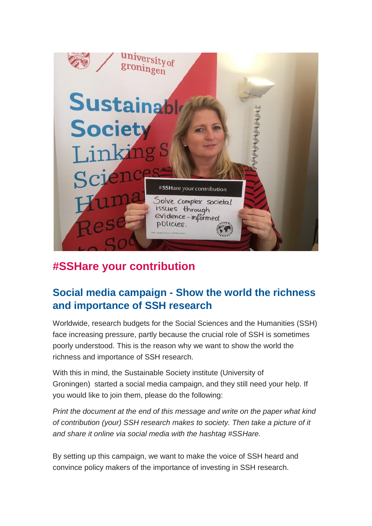

# **#SSHare your contribution**

#### **Social media campaign - Show the world the richness and importance of SSH research**

Worldwide, research budgets for the Social Sciences and the Humanities (SSH) face increasing pressure, partly because the crucial role of SSH is sometimes poorly understood. This is the reason why we want to show the world the richness and importance of SSH research.

With this in mind, the Sustainable Society institute (University of Groningen) started a social media campaign, and they still need your help. If you would like to join them, please do the following:

*Print the document at the end of this message and write on the paper what kind of contribution (your) SSH research makes to society. Then take a picture of it and share it online via social media with the hashtag #SSHare.*

By setting up this campaign, we want to make the voice of SSH heard and convince policy makers of the importance of investing in SSH research.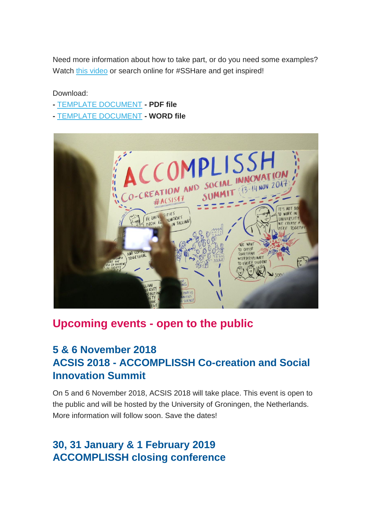Need more information about how to take part, or do you need some examples? Watch [this video](https://www.youtube.com/watch?v=dqeNwiESarc) or search online for #SSHare and get inspired!

#### Download:

- **-** [TEMPLATE DOCUMENT](https://www.rug.nl/research/sustainable-society/pdfs-docs/sshare_your_contribution.pdf) **- PDF file**
- **-** [TEMPLATE DOCUMENT](https://www.rug.nl/research/sustainable-society/pdfs-docs/sshare_your_contribution_2.docx) **- WORD file**



#### **Upcoming events - open to the public**

## **5 & 6 November 2018 ACSIS 2018 - ACCOMPLISSH Co-creation and Social Innovation Summit**

On 5 and 6 November 2018, ACSIS 2018 will take place. This event is open to the public and will be hosted by the University of Groningen, the Netherlands. More information will follow soon. Save the dates!

## **30, 31 January & 1 February 2019 ACCOMPLISSH closing conference**